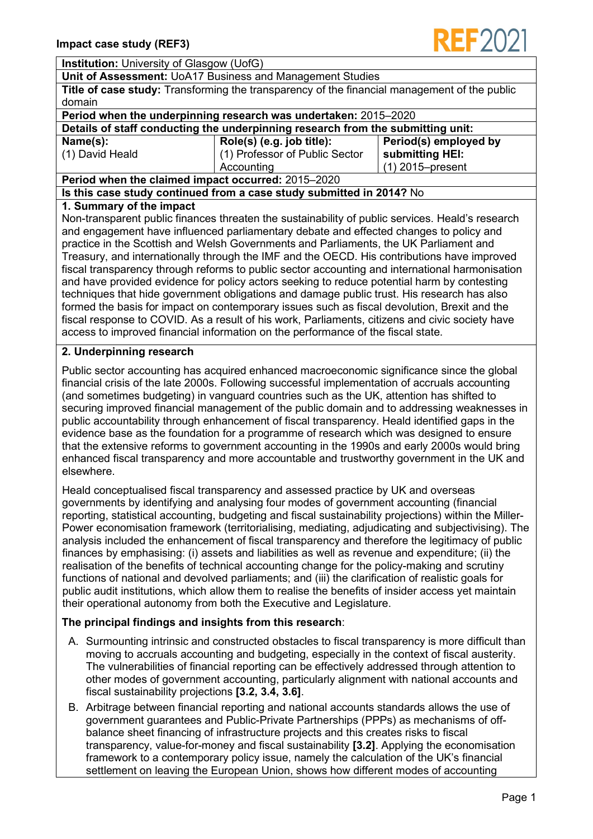

#### **Institution:** University of Glasgow (UofG)

#### **Unit of Assessment:** UoA17 Business and Management Studies

| Title of case study: Transforming the transparency of the financial management of the public |  |
|----------------------------------------------------------------------------------------------|--|
| domain                                                                                       |  |

#### **Period when the underpinning research was undertaken:** 2015–2020

| Details of staff conducting the underpinning research from the submitting unit: |  |  |
|---------------------------------------------------------------------------------|--|--|
|                                                                                 |  |  |

**Name(s):**

(1) David Heald

**Role(s) (e.g. job title):** (1) Professor of Public Sector **Period(s) employed by submitting HEI:** (1) 2015–present

**Period when the claimed impact occurred:** 2015–2020

# **Is this case study continued from a case study submitted in 2014?** No

**Accounting** 

#### **1. Summary of the impact**

Non-transparent public finances threaten the sustainability of public services. Heald's research and engagement have influenced parliamentary debate and effected changes to policy and practice in the Scottish and Welsh Governments and Parliaments, the UK Parliament and Treasury, and internationally through the IMF and the OECD. His contributions have improved fiscal transparency through reforms to public sector accounting and international harmonisation and have provided evidence for policy actors seeking to reduce potential harm by contesting techniques that hide government obligations and damage public trust. His research has also formed the basis for impact on contemporary issues such as fiscal devolution, Brexit and the fiscal response to COVID. As a result of his work, Parliaments, citizens and civic society have access to improved financial information on the performance of the fiscal state.

### **2. Underpinning research**

Public sector accounting has acquired enhanced macroeconomic significance since the global financial crisis of the late 2000s. Following successful implementation of accruals accounting (and sometimes budgeting) in vanguard countries such as the UK, attention has shifted to securing improved financial management of the public domain and to addressing weaknesses in public accountability through enhancement of fiscal transparency. Heald identified gaps in the evidence base as the foundation for a programme of research which was designed to ensure that the extensive reforms to government accounting in the 1990s and early 2000s would bring enhanced fiscal transparency and more accountable and trustworthy government in the UK and elsewhere.

Heald conceptualised fiscal transparency and assessed practice by UK and overseas governments by identifying and analysing four modes of government accounting (financial reporting, statistical accounting, budgeting and fiscal sustainability projections) within the Miller-Power economisation framework (territorialising, mediating, adjudicating and subjectivising). The analysis included the enhancement of fiscal transparency and therefore the legitimacy of public finances by emphasising: (i) assets and liabilities as well as revenue and expenditure; (ii) the realisation of the benefits of technical accounting change for the policy-making and scrutiny functions of national and devolved parliaments; and (iii) the clarification of realistic goals for public audit institutions, which allow them to realise the benefits of insider access yet maintain their operational autonomy from both the Executive and Legislature.

### **The principal findings and insights from this research**:

- A. Surmounting intrinsic and constructed obstacles to fiscal transparency is more difficult than moving to accruals accounting and budgeting, especially in the context of fiscal austerity. The vulnerabilities of financial reporting can be effectively addressed through attention to other modes of government accounting, particularly alignment with national accounts and fiscal sustainability projections **[3.2, 3.4, 3.6]**.
- B. Arbitrage between financial reporting and national accounts standards allows the use of government guarantees and Public-Private Partnerships (PPPs) as mechanisms of offbalance sheet financing of infrastructure projects and this creates risks to fiscal transparency, value-for-money and fiscal sustainability **[3.2]**. Applying the economisation framework to a contemporary policy issue, namely the calculation of the UK's financial settlement on leaving the European Union, shows how different modes of accounting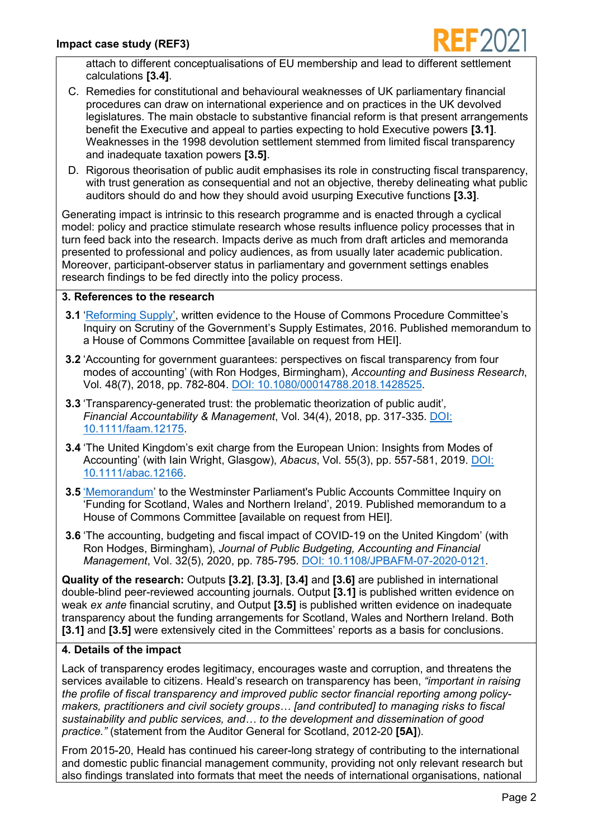

attach to different conceptualisations of EU membership and lead to different settlement calculations **[3.4]**.

- C. Remedies for constitutional and behavioural weaknesses of UK parliamentary financial procedures can draw on international experience and on practices in the UK devolved legislatures. The main obstacle to substantive financial reform is that present arrangements benefit the Executive and appeal to parties expecting to hold Executive powers **[3.1]**. Weaknesses in the 1998 devolution settlement stemmed from limited fiscal transparency and inadequate taxation powers **[3.5]**.
- D. Rigorous theorisation of public audit emphasises its role in constructing fiscal transparency, with trust generation as consequential and not an objective, thereby delineating what public auditors should do and how they should avoid usurping Executive functions **[3.3]**.

Generating impact is intrinsic to this research programme and is enacted through a cyclical model: policy and practice stimulate research whose results influence policy processes that in turn feed back into the research. Impacts derive as much from draft articles and memoranda presented to professional and policy audiences, as from usually later academic publication. Moreover, participant-observer status in parliamentary and government settings enables research findings to be fed directly into the policy process.

### **3. References to the research**

- **3.1** 'Reforming Supply', written evidence to the House of Commons Procedure Committee's Inquiry on Scrutiny of the Government's Supply Estimates, 2016. Published memorandum to a House of Commons Committee [available on request from HEI].
- **3.2** 'Accounting for government guarantees: perspectives on fiscal transparency from four modes of accounting' (with Ron Hodges, Birmingham), *Accounting and Business Research*, Vol. 48(7), 2018, pp. 782-804. DOI: 10.1080/00014788.2018.1428525.
- **3.3** 'Transparency-generated trust: the problematic theorization of public audit'*, Financial Accountability & Management*, Vol. 34(4), 2018, pp. 317-335. DOI: 10.1111/faam.12175.
- **3.4** 'The United Kingdom's exit charge from the European Union: Insights from Modes of Accounting' (with Iain Wright, Glasgow), *Abacus*, Vol. 55(3), pp. 557-581, 2019. DOI: 10.1111/abac.12166.
- **3.5** 'Memorandum' to the Westminster Parliament's Public Accounts Committee Inquiry on 'Funding for Scotland, Wales and Northern Ireland', 2019. Published memorandum to a House of Commons Committee [available on request from HEI].
- **3.6** 'The accounting, budgeting and fiscal impact of COVID-19 on the United Kingdom' (with Ron Hodges, Birmingham), *Journal of Public Budgeting, Accounting and Financial Management*, Vol. 32(5), 2020, pp. 785-795. DOI: 10.1108/JPBAFM-07-2020-0121.

**Quality of the research:** Outputs **[3.2]**, **[3.3]**, **[3.4]** and **[3.6]** are published in international double-blind peer-reviewed accounting journals. Output **[3.1]** is published written evidence on weak *ex ante* financial scrutiny, and Output **[3.5]** is published written evidence on inadequate transparency about the funding arrangements for Scotland, Wales and Northern Ireland. Both **[3.1]** and **[3.5]** were extensively cited in the Committees' reports as a basis for conclusions.

### **4. Details of the impact**

Lack of transparency erodes legitimacy, encourages waste and corruption, and threatens the services available to citizens. Heald's research on transparency has been, *"important in raising the profile of fiscal transparency and improved public sector financial reporting among policymakers, practitioners and civil society groups… [and contributed] to managing risks to fiscal sustainability and public services, and… to the development and dissemination of good practice."* (statement from the Auditor General for Scotland, 2012-20 **[5A]**).

From 2015-20, Heald has continued his career-long strategy of contributing to the international and domestic public financial management community, providing not only relevant research but also findings translated into formats that meet the needs of international organisations, national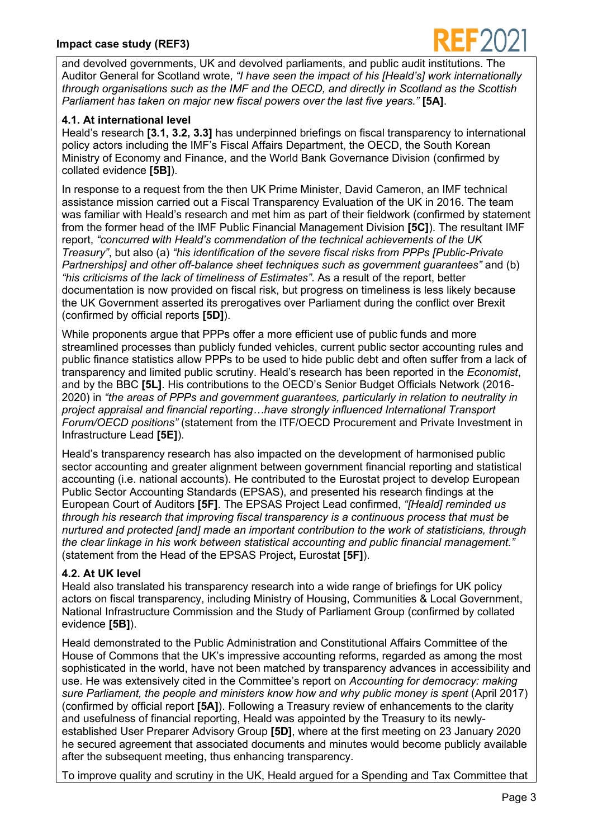

and devolved governments, UK and devolved parliaments, and public audit institutions. The Auditor General for Scotland wrote, *"I have seen the impact of his [Heald's] work internationally through organisations such as the IMF and the OECD, and directly in Scotland as the Scottish Parliament has taken on major new fiscal powers over the last five years."* **[5A]**.

## **4.1. At international level**

Heald's research **[3.1, 3.2, 3.3]** has underpinned briefings on fiscal transparency to international policy actors including the IMF's Fiscal Affairs Department, the OECD, the South Korean Ministry of Economy and Finance, and the World Bank Governance Division (confirmed by collated evidence **[5B]**).

In response to a request from the then UK Prime Minister, David Cameron, an IMF technical assistance mission carried out a Fiscal Transparency Evaluation of the UK in 2016. The team was familiar with Heald's research and met him as part of their fieldwork (confirmed by statement from the former head of the IMF Public Financial Management Division **[5C]**). The resultant IMF report, *"concurred with Heald's commendation of the technical achievements of the UK Treasury"*, but also (a) *"his identification of the severe fiscal risks from PPPs [Public-Private Partnerships] and other off-balance sheet techniques such as government guarantees"* and (b) *"his criticisms of the lack of timeliness of Estimates"*. As a result of the report, better documentation is now provided on fiscal risk, but progress on timeliness is less likely because the UK Government asserted its prerogatives over Parliament during the conflict over Brexit (confirmed by official reports **[5D]**).

While proponents argue that PPPs offer a more efficient use of public funds and more streamlined processes than publicly funded vehicles, current public sector accounting rules and public finance statistics allow PPPs to be used to hide public debt and often suffer from a lack of transparency and limited public scrutiny. Heald's research has been reported in the *Economist*, and by the BBC **[5L]**. His contributions to the OECD's Senior Budget Officials Network (2016- 2020) in *"the areas of PPPs and government guarantees, particularly in relation to neutrality in project appraisal and financial reporting…have strongly influenced International Transport Forum/OECD positions"* (statement from the ITF/OECD Procurement and Private Investment in Infrastructure Lead **[5E]**).

Heald's transparency research has also impacted on the development of harmonised public sector accounting and greater alignment between government financial reporting and statistical accounting (i.e. national accounts). He contributed to the Eurostat project to develop European Public Sector Accounting Standards (EPSAS), and presented his research findings at the European Court of Auditors **[5F]**. The EPSAS Project Lead confirmed, *"[Heald] reminded us through his research that improving fiscal transparency is a continuous process that must be nurtured and protected [and] made an important contribution to the work of statisticians, through the clear linkage in his work between statistical accounting and public financial management."* (statement from the Head of the EPSAS Project**,** Eurostat **[5F]**).

# **4.2. At UK level**

Heald also translated his transparency research into a wide range of briefings for UK policy actors on fiscal transparency, including Ministry of Housing, Communities & Local Government, National Infrastructure Commission and the Study of Parliament Group (confirmed by collated evidence **[5B]**).

Heald demonstrated to the Public Administration and Constitutional Affairs Committee of the House of Commons that the UK's impressive accounting reforms, regarded as among the most sophisticated in the world, have not been matched by transparency advances in accessibility and use. He was extensively cited in the Committee's report on *Accounting for democracy: making*  sure Parliament, the people and ministers know how and why public money is spent (April 2017) (confirmed by official report **[5A]**). Following a Treasury review of enhancements to the clarity and usefulness of financial reporting, Heald was appointed by the Treasury to its newlyestablished User Preparer Advisory Group **[5D]**, where at the first meeting on 23 January 2020 he secured agreement that associated documents and minutes would become publicly available after the subsequent meeting, thus enhancing transparency.

To improve quality and scrutiny in the UK, Heald argued for a Spending and Tax Committee that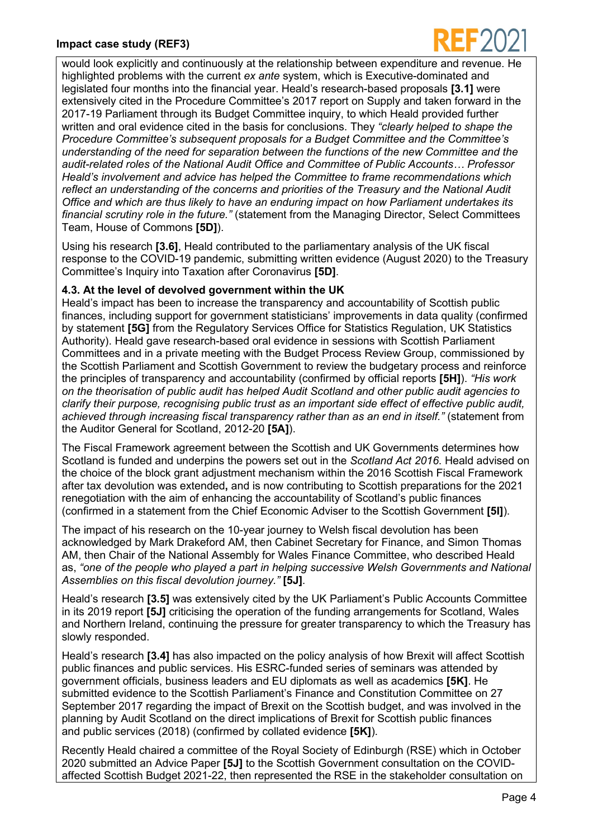

would look explicitly and continuously at the relationship between expenditure and revenue. He highlighted problems with the current *ex ante* system, which is Executive-dominated and legislated four months into the financial year. Heald's research-based proposals **[3.1]** were extensively cited in the Procedure Committee's 2017 report on Supply and taken forward in the 2017-19 Parliament through its Budget Committee inquiry, to which Heald provided further written and oral evidence cited in the basis for conclusions. They *"clearly helped to shape the Procedure Committee's subsequent proposals for a Budget Committee and the Committee's understanding of the need for separation between the functions of the new Committee and the audit-related roles of the National Audit Office and Committee of Public Accounts… Professor Heald's involvement and advice has helped the Committee to frame recommendations which reflect an understanding of the concerns and priorities of the Treasury and the National Audit Office and which are thus likely to have an enduring impact on how Parliament undertakes its financial scrutiny role in the future."* (statement from the Managing Director, Select Committees Team, House of Commons **[5D]**).

Using his research **[3.6]**, Heald contributed to the parliamentary analysis of the UK fiscal response to the COVID-19 pandemic, submitting written evidence (August 2020) to the Treasury Committee's Inquiry into Taxation after Coronavirus **[5D]**.

### **4.3. At the level of devolved government within the UK**

Heald's impact has been to increase the transparency and accountability of Scottish public finances, including support for government statisticians' improvements in data quality (confirmed by statement **[5G]** from the Regulatory Services Office for Statistics Regulation, UK Statistics Authority). Heald gave research-based oral evidence in sessions with Scottish Parliament Committees and in a private meeting with the Budget Process Review Group, commissioned by the Scottish Parliament and Scottish Government to review the budgetary process and reinforce the principles of transparency and accountability (confirmed by official reports **[5H]**). *"His work on the theorisation of public audit has helped Audit Scotland and other public audit agencies to clarify their purpose, recognising public trust as an important side effect of effective public audit, achieved through increasing fiscal transparency rather than as an end in itself."* (statement from the Auditor General for Scotland, 2012-20 **[5A]**).

The Fiscal Framework agreement between the Scottish and UK Governments determines how Scotland is funded and underpins the powers set out in the *Scotland Act 2016*. Heald advised on the choice of the block grant adjustment mechanism within the 2016 Scottish Fiscal Framework after tax devolution was extended**,** and is now contributing to Scottish preparations for the 2021 renegotiation with the aim of enhancing the accountability of Scotland's public finances (confirmed in a statement from the Chief Economic Adviser to the Scottish Government **[5I]**).

The impact of his research on the 10-year journey to Welsh fiscal devolution has been acknowledged by Mark Drakeford AM, then Cabinet Secretary for Finance, and Simon Thomas AM, then Chair of the National Assembly for Wales Finance Committee, who described Heald as, *"one of the people who played a part in helping successive Welsh Governments and National Assemblies on this fiscal devolution journey."* **[5J]**.

Heald's research **[3.5]** was extensively cited by the UK Parliament's Public Accounts Committee in its 2019 report **[5J]** criticising the operation of the funding arrangements for Scotland, Wales and Northern Ireland, continuing the pressure for greater transparency to which the Treasury has slowly responded.

Heald's research **[3.4]** has also impacted on the policy analysis of how Brexit will affect Scottish public finances and public services. His ESRC-funded series of seminars was attended by government officials, business leaders and EU diplomats as well as academics **[5K]**. He submitted evidence to the Scottish Parliament's Finance and Constitution Committee on 27 September 2017 regarding the impact of Brexit on the Scottish budget, and was involved in the planning by Audit Scotland on the direct implications of Brexit for Scottish public finances and public services (2018) (confirmed by collated evidence **[5K]**).

Recently Heald chaired a committee of the Royal Society of Edinburgh (RSE) which in October 2020 submitted an Advice Paper **[5J]** to the Scottish Government consultation on the COVIDaffected Scottish Budget 2021-22, then represented the RSE in the stakeholder consultation on